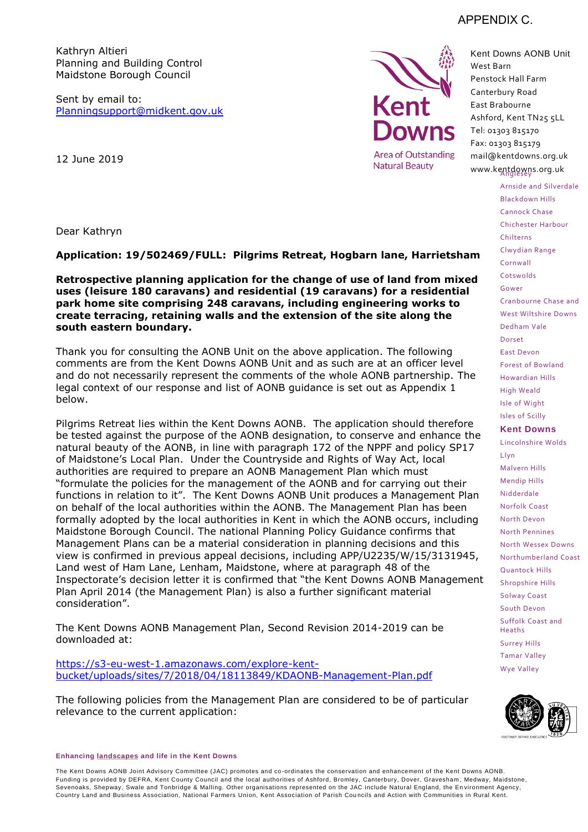

Sent by email to: [Planningsupport@midkent.gov.uk](mailto:Planningsupport@midkent.gov.uk)



Kent Downs AONB Unit West Barn Penstock Hall Farm Canterbury Road East Brabourne Ashford, Kent TN25 5LL Tel: 01303 815170 Fax: 01303 815179 mail@kentdowns.org.uk www.kentdowns.org.uk

Chilterns

Arnside and Silverdale Blackdown Hills Cannock Chase Chichester Harbour

12 June 2019

Dear Kathryn

**Application: 19/502469/FULL: Pilgrims Retreat, Hogbarn lane, Harrietsham** 

**Retrospective planning application for the change of use of land from mixed uses (leisure 180 caravans) and residential (19 caravans) for a residential park home site comprising 248 caravans, including engineering works to create terracing, retaining walls and the extension of the site along the south eastern boundary.** 

Thank you for consulting the AONB Unit on the above application. The following comments are from the Kent Downs AONB Unit and as such are at an officer level and do not necessarily represent the comments of the whole AONB partnership. The legal context of our response and list of AONB guidance is set out as Appendix 1 below.

Pilgrims Retreat lies within the Kent Downs AONB. The application should therefore be tested against the purpose of the AONB designation, to conserve and enhance the natural beauty of the AONB, in line with paragraph 172 of the NPPF and policy SP17 of Maidstone's Local Plan. Under the Countryside and Rights of Way Act, local authorities are required to prepare an AONB Management Plan which must "formulate the policies for the management of the AONB and for carrying out their functions in relation to it". The Kent Downs AONB Unit produces a Management Plan on behalf of the local authorities within the AONB. The Management Plan has been formally adopted by the local authorities in Kent in which the AONB occurs, including Maidstone Borough Council. The national Planning Policy Guidance confirms that Management Plans can be a material consideration in planning decisions and this view is confirmed in previous appeal decisions, including APP/U2235/W/15/3131945, Land west of Ham Lane, Lenham, Maidstone, where at paragraph 48 of the Inspectorate's decision letter it is confirmed that "the Kent Downs AONB Management Plan April 2014 (the Management Plan) is also a further significant material consideration".

The Kent Downs AONB Management Plan, Second Revision 2014-2019 can be downloaded at:

[https://s3-eu-west-1.amazonaws.com/explore-kent](https://s3-eu-west-1.amazonaws.com/explore-kent-bucket/uploads/sites/7/2018/04/18113849/KDAONB-Management-Plan.pdf)[bucket/uploads/sites/7/2018/04/18113849/KDAONB-Management-Plan.pdf](https://s3-eu-west-1.amazonaws.com/explore-kent-bucket/uploads/sites/7/2018/04/18113849/KDAONB-Management-Plan.pdf)

The following policies from the Management Plan are considered to be of particular relevance to the current application:

**Enhancing landscapes and life in the Kent Downs** 

The Kent Downs AONB Joint Advisory Committee (JAC) promotes and co -ordinates the conservation and enhancement of the Kent Downs AONB. Funding is provided by DEFRA, Kent County Council and the local authorities of Ashford, Bromley, Canterbury, Dover, Gravesham , Medway, Maidstone, Sevenoaks, Shepway, Swale and Tonbridge & Malling. Other organisations represented on the JAC include Natural England, the En vironment Agency, Country Land and Business Association, National Farmers Union, Kent Association of Parish Cou ncils and Action with Communities in Rural Kent.

# APPENDIX C.

Clwydian Range Cornwall Cotswolds Gower Cranbourne Chase and West Wiltshire Downs Dedham Vale Dorset East Devon Forest of Bowland Howardian Hills High Weald Isle of Wight Isles of Scilly **Kent Downs** Lincolnshire Wolds Llyn Malvern Hills Mendip Hills

Nidderdale Norfolk Coast North Devon North Pennines North Wessex Downs Northumberland Coast Quantock Hills Shropshire Hills Solway Coast South Devon Suffolk Coast and Heaths Surrey Hills Tamar Valley Wye Valley

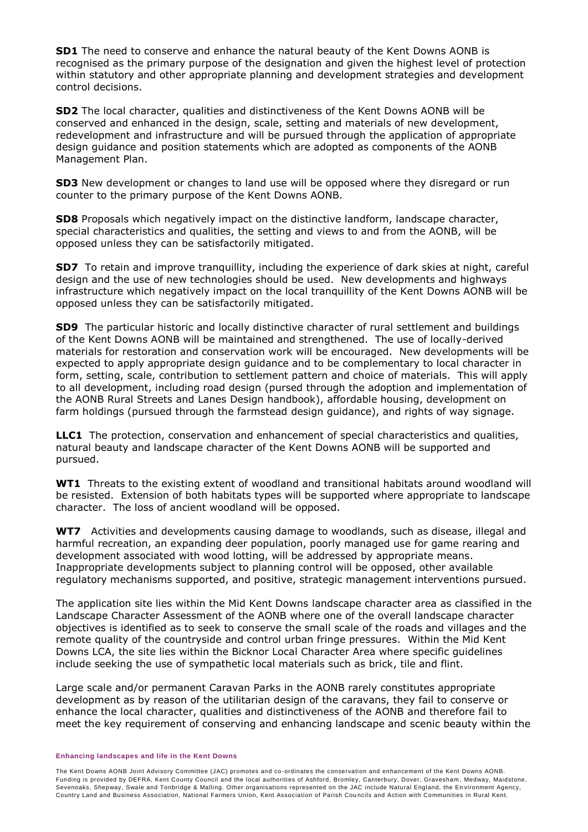**SD1** The need to conserve and enhance the natural beauty of the Kent Downs AONB is recognised as the primary purpose of the designation and given the highest level of protection within statutory and other appropriate planning and development strategies and development control decisions.

**SD2** The local character, qualities and distinctiveness of the Kent Downs AONB will be conserved and enhanced in the design, scale, setting and materials of new development, redevelopment and infrastructure and will be pursued through the application of appropriate design guidance and position statements which are adopted as components of the AONB Management Plan.

**SD3** New development or changes to land use will be opposed where they disregard or run counter to the primary purpose of the Kent Downs AONB.

**SD8** Proposals which negatively impact on the distinctive landform, landscape character, special characteristics and qualities, the setting and views to and from the AONB, will be opposed unless they can be satisfactorily mitigated.

**SD7** To retain and improve tranquillity, including the experience of dark skies at night, careful design and the use of new technologies should be used. New developments and highways infrastructure which negatively impact on the local tranquillity of the Kent Downs AONB will be opposed unless they can be satisfactorily mitigated.

**SD9** The particular historic and locally distinctive character of rural settlement and buildings of the Kent Downs AONB will be maintained and strengthened. The use of locally-derived materials for restoration and conservation work will be encouraged. New developments will be expected to apply appropriate design guidance and to be complementary to local character in form, setting, scale, contribution to settlement pattern and choice of materials. This will apply to all development, including road design (pursed through the adoption and implementation of the AONB Rural Streets and Lanes Design handbook), affordable housing, development on farm holdings (pursued through the farmstead design guidance), and rights of way signage.

**LLC1** The protection, conservation and enhancement of special characteristics and qualities, natural beauty and landscape character of the Kent Downs AONB will be supported and pursued.

**WT1** Threats to the existing extent of woodland and transitional habitats around woodland will be resisted. Extension of both habitats types will be supported where appropriate to landscape character. The loss of ancient woodland will be opposed.

**WT7** Activities and developments causing damage to woodlands, such as disease, illegal and harmful recreation, an expanding deer population, poorly managed use for game rearing and development associated with wood lotting, will be addressed by appropriate means. Inappropriate developments subject to planning control will be opposed, other available regulatory mechanisms supported, and positive, strategic management interventions pursued.

The application site lies within the Mid Kent Downs landscape character area as classified in the Landscape Character Assessment of the AONB where one of the overall landscape character objectives is identified as to seek to conserve the small scale of the roads and villages and the remote quality of the countryside and control urban fringe pressures. Within the Mid Kent Downs LCA, the site lies within the Bicknor Local Character Area where specific guidelines include seeking the use of sympathetic local materials such as brick, tile and flint.

Large scale and/or permanent Caravan Parks in the AONB rarely constitutes appropriate development as by reason of the utilitarian design of the caravans, they fail to conserve or enhance the local character, qualities and distinctiveness of the AONB and therefore fail to meet the key requirement of conserving and enhancing landscape and scenic beauty within the

#### **Enhancing landscapes and life in the Kent Downs**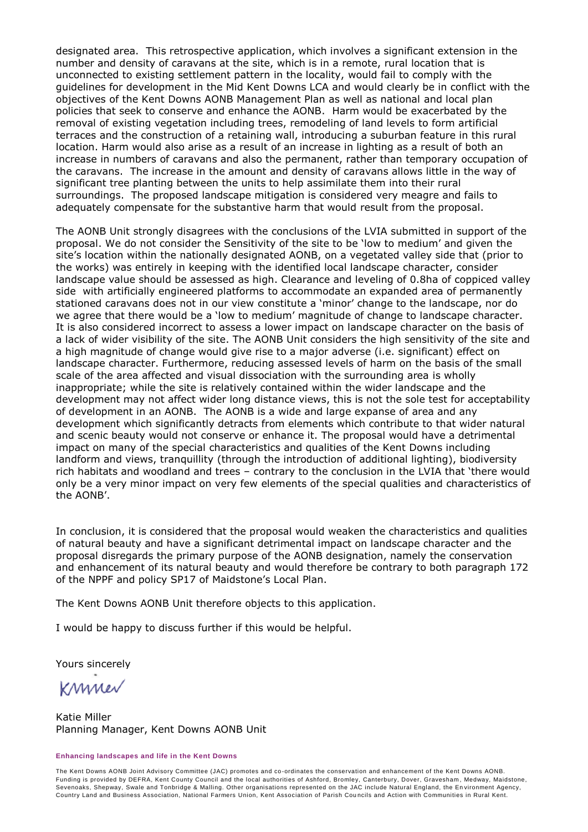designated area. This retrospective application, which involves a significant extension in the number and density of caravans at the site, which is in a remote, rural location that is unconnected to existing settlement pattern in the locality, would fail to comply with the guidelines for development in the Mid Kent Downs LCA and would clearly be in conflict with the objectives of the Kent Downs AONB Management Plan as well as national and local plan policies that seek to conserve and enhance the AONB. Harm would be exacerbated by the removal of existing vegetation including trees, remodeling of land levels to form artificial terraces and the construction of a retaining wall, introducing a suburban feature in this rural location. Harm would also arise as a result of an increase in lighting as a result of both an increase in numbers of caravans and also the permanent, rather than temporary occupation of the caravans. The increase in the amount and density of caravans allows little in the way of significant tree planting between the units to help assimilate them into their rural surroundings. The proposed landscape mitigation is considered very meagre and fails to adequately compensate for the substantive harm that would result from the proposal.

The AONB Unit strongly disagrees with the conclusions of the LVIA submitted in support of the proposal. We do not consider the Sensitivity of the site to be 'low to medium' and given the site's location within the nationally designated AONB, on a vegetated valley side that (prior to the works) was entirely in keeping with the identified local landscape character, consider landscape value should be assessed as high. Clearance and leveling of 0.8ha of coppiced valley side with artificially engineered platforms to accommodate an expanded area of permanently stationed caravans does not in our view constitute a 'minor' change to the landscape, nor do we agree that there would be a 'low to medium' magnitude of change to landscape character. It is also considered incorrect to assess a lower impact on landscape character on the basis of a lack of wider visibility of the site. The AONB Unit considers the high sensitivity of the site and a high magnitude of change would give rise to a major adverse (i.e. significant) effect on landscape character. Furthermore, reducing assessed levels of harm on the basis of the small scale of the area affected and visual dissociation with the surrounding area is wholly inappropriate; while the site is relatively contained within the wider landscape and the development may not affect wider long distance views, this is not the sole test for acceptability of development in an AONB. The AONB is a wide and large expanse of area and any development which significantly detracts from elements which contribute to that wider natural and scenic beauty would not conserve or enhance it. The proposal would have a detrimental impact on many of the special characteristics and qualities of the Kent Downs including landform and views, tranquillity (through the introduction of additional lighting), biodiversity rich habitats and woodland and trees – contrary to the conclusion in the LVIA that 'there would only be a very minor impact on very few elements of the special qualities and characteristics of the AONB'.

In conclusion, it is considered that the proposal would weaken the characteristics and qualities of natural beauty and have a significant detrimental impact on landscape character and the proposal disregards the primary purpose of the AONB designation, namely the conservation and enhancement of its natural beauty and would therefore be contrary to both paragraph 172 of the NPPF and policy SP17 of Maidstone's Local Plan.

The Kent Downs AONB Unit therefore objects to this application.

I would be happy to discuss further if this would be helpful.

Yours sincerely

KMMer

Katie Miller Planning Manager, Kent Downs AONB Unit

#### **Enhancing landscapes and life in the Kent Downs**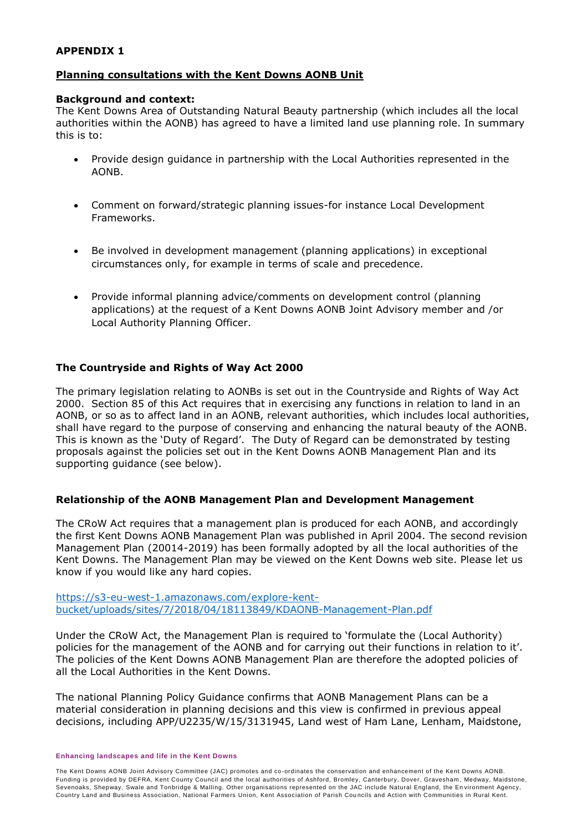#### **APPENDIX 1**

# **Planning consultations with the Kent Downs AONB Unit**

#### **Background and context:**

The Kent Downs Area of Outstanding Natural Beauty partnership (which includes all the local authorities within the AONB) has agreed to have a limited land use planning role. In summary this is to:

- Provide design guidance in partnership with the Local Authorities represented in the AONB.
- Comment on forward/strategic planning issues-for instance Local Development Frameworks.
- Be involved in development management (planning applications) in exceptional circumstances only, for example in terms of scale and precedence.
- Provide informal planning advice/comments on development control (planning applications) at the request of a Kent Downs AONB Joint Advisory member and /or Local Authority Planning Officer.

# **The Countryside and Rights of Way Act 2000**

The primary legislation relating to AONBs is set out in the Countryside and Rights of Way Act 2000. Section 85 of this Act requires that in exercising any functions in relation to land in an AONB, or so as to affect land in an AONB, relevant authorities, which includes local authorities, shall have regard to the purpose of conserving and enhancing the natural beauty of the AONB. This is known as the 'Duty of Regard'. The Duty of Regard can be demonstrated by testing proposals against the policies set out in the Kent Downs AONB Management Plan and its supporting guidance (see below).

#### **Relationship of the AONB Management Plan and Development Management**

The CRoW Act requires that a management plan is produced for each AONB, and accordingly the first Kent Downs AONB Management Plan was published in April 2004. The second revision Management Plan (20014-2019) has been formally adopted by all the local authorities of the Kent Downs. The Management Plan may be viewed on the Kent Downs web site. Please let us know if you would like any hard copies.

[https://s3-eu-west-1.amazonaws.com/explore-kent](https://s3-eu-west-1.amazonaws.com/explore-kent-bucket/uploads/sites/7/2018/04/18113849/KDAONB-Management-Plan.pdf)[bucket/uploads/sites/7/2018/04/18113849/KDAONB-Management-Plan.pdf](https://s3-eu-west-1.amazonaws.com/explore-kent-bucket/uploads/sites/7/2018/04/18113849/KDAONB-Management-Plan.pdf)

Under the CRoW Act, the Management Plan is required to 'formulate the (Local Authority) policies for the management of the AONB and for carrying out their functions in relation to it'. The policies of the Kent Downs AONB Management Plan are therefore the adopted policies of all the Local Authorities in the Kent Downs.

The national Planning Policy Guidance confirms that AONB Management Plans can be a material consideration in planning decisions and this view is confirmed in previous appeal decisions, including APP/U2235/W/15/3131945, Land west of Ham Lane, Lenham, Maidstone,

#### **Enhancing landscapes and life in the Kent Downs**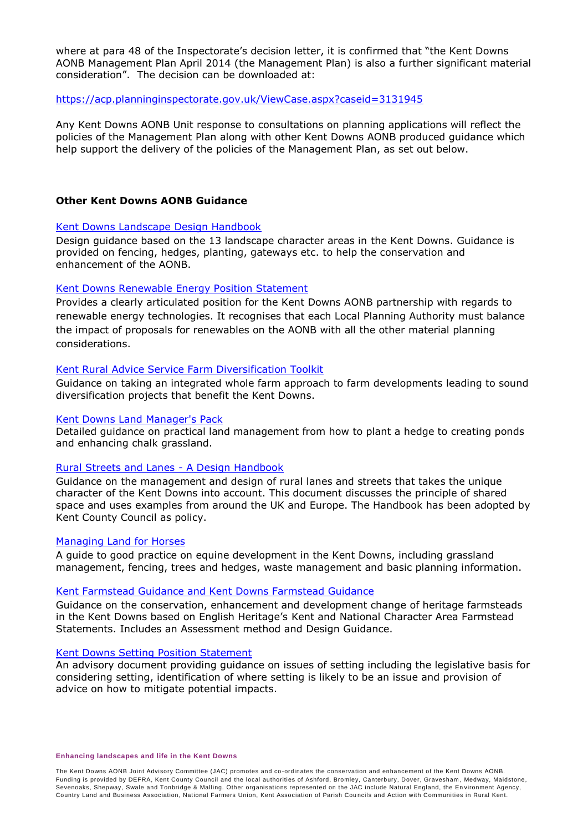where at para 48 of the Inspectorate's decision letter, it is confirmed that "the Kent Downs AONB Management Plan April 2014 (the Management Plan) is also a further significant material consideration". The decision can be downloaded at:

#### <https://acp.planninginspectorate.gov.uk/ViewCase.aspx?caseid=3131945>

Any Kent Downs AONB Unit response to consultations on planning applications will reflect the policies of the Management Plan along with other Kent Downs AONB produced guidance which help support the delivery of the policies of the Management Plan, as set out below.

## **Other Kent Downs AONB Guidance**

# [Kent Downs Landscape Design Handbook](https://s3-eu-west-1.amazonaws.com/explore-kent-bucket/uploads/sites/7/2018/04/18113859/Landscape-Design-Handbook.pdf)

Design guidance based on the 13 landscape character areas in the Kent Downs. Guidance is provided on fencing, hedges, planting, gateways etc. to help the conservation and enhancement of the AONB.

#### [Kent Downs Renewable Energy Position Statement](https://s3-eu-west-1.amazonaws.com/explore-kent-bucket/uploads/sites/7/2018/06/12160128/Renewable_EnergyPosition_Statement.pdf)

Provides a clearly articulated position for the Kent Downs AONB partnership with regards to renewable energy technologies. It recognises that each Local Planning Authority must balance the impact of proposals for renewables on the AONB with all the other material planning considerations.

#### [Kent Rural Advice Service Farm Diversification Toolkit](https://s3-eu-west-1.amazonaws.com/explore-kent-bucket/uploads/sites/7/2018/04/18112817/Farm-Diversification-Toolkit.pdf)

Guidance on taking an integrated whole farm approach to farm developments leading to sound diversification projects that benefit the Kent Downs.

#### [Kent Downs Land Manager's Pack](https://www.kentdowns.org.uk/landscape-management/management-publications/)

Detailed guidance on practical land management from how to plant a hedge to creating ponds and enhancing chalk grassland.

# [Rural Streets and Lanes -](https://s3-eu-west-1.amazonaws.com/explore-kent-bucket/uploads/sites/7/2018/04/18113912/Rural-Streets-and-Lanes-a-design-handbook.pdf) A Design Handbook

Guidance on the management and design of rural lanes and streets that takes the unique character of the Kent Downs into account. This document discusses the principle of shared space and uses examples from around the UK and Europe. The Handbook has been adopted by Kent County Council as policy.

#### [Managing Land for Horses](https://s3-eu-west-1.amazonaws.com/explore-kent-bucket/uploads/sites/7/2018/04/18113905/ManagingLandforHorses.pdf)

A guide to good practice on equine development in the Kent Downs, including grassland management, fencing, trees and hedges, waste management and basic planning information.

#### [Kent Farmstead Guidance and Kent Downs Farmstead Guidance](https://s3-eu-west-1.amazonaws.com/explore-kent-bucket/uploads/sites/7/2018/04/18113853/Kent_Downs_AONB_Farmstead_Guidance.pdf)

Guidance on the conservation, enhancement and development change of heritage farmsteads in the Kent Downs based on English Heritage's Kent and National Character Area Farmstead Statements. Includes an Assessment method and Design Guidance.

#### [Kent Downs Setting Position Statement](https://s3-eu-west-1.amazonaws.com/explore-kent-bucket/uploads/sites/7/2018/06/12160119/Setting-Position-Statement.pdf)

An advisory document providing guidance on issues of setting including the legislative basis for considering setting, identification of where setting is likely to be an issue and provision of advice on how to mitigate potential impacts.

#### **Enhancing landscapes and life in the Kent Downs**